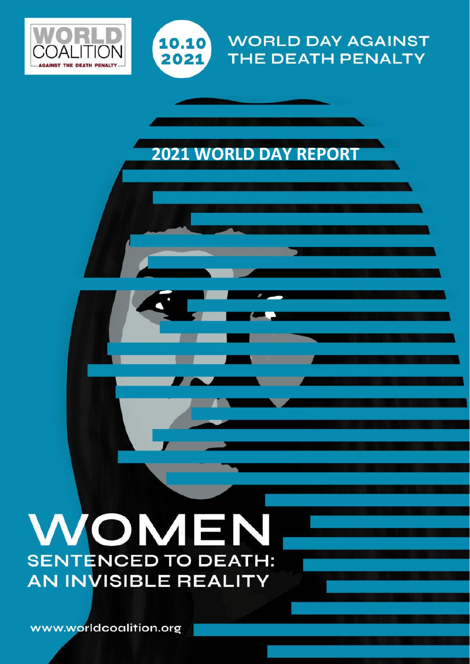



# **WORLD DAY AGAINST THE DEATH PENALTY**

1

# **2021 WORLD DAY REPORT**

2021 REPORT

# WOMEN **SENTENCED TO DEATH: AN INVISIBLE REALITY**

www.worldcoalition.org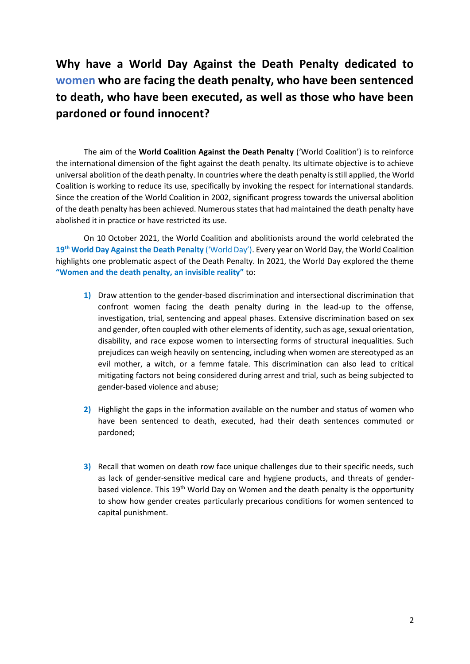# **Why have a World Day Against the Death Penalty dedicated to women who are facing the death penalty, who have been sentenced to death, who have been executed, as well as those who have been pardoned or found innocent?**

The aim of the **World Coalition Against the Death Penalty** ('World Coalition') is to reinforce the international dimension of the fight against the death penalty. Its ultimate objective is to achieve universal abolition of the death penalty. In countries where the death penalty is still applied, the World Coalition is working to reduce its use, specifically by invoking the respect for international standards. Since the creation of the World Coalition in 2002, significant progress towards the universal abolition of the death penalty has been achieved. Numerous states that had maintained the death penalty have abolished it in practice or have restricted its use.

On 10 October 2021, the World Coalition and abolitionists around the world celebrated the **19th World Day Against the Death Penalty** ('World Day'). Every year on World Day, the World Coalition highlights one problematic aspect of the Death Penalty. In 2021, the World Day explored the theme **"Women and the death penalty, an invisible reality"** to:

- **1)** Draw attention to the gender-based discrimination and intersectional discrimination that confront women facing the death penalty during in the lead-up to the offense, investigation, trial, sentencing and appeal phases. Extensive discrimination based on sex and gender, often coupled with other elements of identity, such as age, sexual orientation, disability, and race expose women to intersecting forms of structural inequalities. Such prejudices can weigh heavily on sentencing, including when women are stereotyped as an evil mother, a witch, or a femme fatale. This discrimination can also lead to critical mitigating factors not being considered during arrest and trial, such as being subjected to gender-based violence and abuse;
- **2)** Highlight the gaps in the information available on the number and status of women who have been sentenced to death, executed, had their death sentences commuted or pardoned;
- **3)** Recall that women on death row face unique challenges due to their specific needs, such as lack of gender-sensitive medical care and hygiene products, and threats of genderbased violence. This 19<sup>th</sup> World Day on Women and the death penalty is the opportunity to show how gender creates particularly precarious conditions for women sentenced to capital punishment.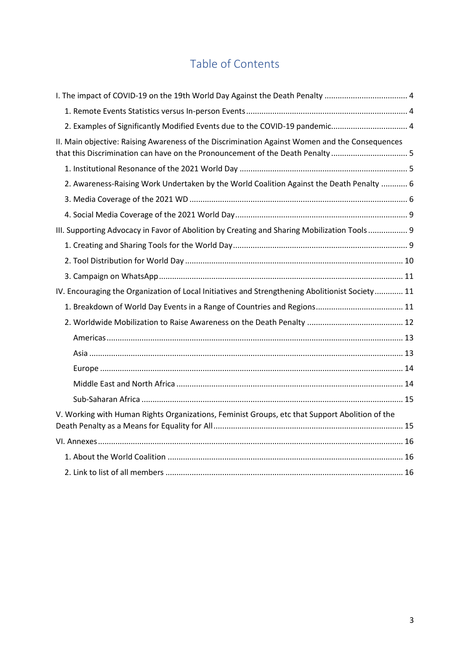# Table of Contents

| I. The impact of COVID-19 on the 19th World Day Against the Death Penalty  4                                                                                                  |  |
|-------------------------------------------------------------------------------------------------------------------------------------------------------------------------------|--|
|                                                                                                                                                                               |  |
| 2. Examples of Significantly Modified Events due to the COVID-19 pandemic 4                                                                                                   |  |
| II. Main objective: Raising Awareness of the Discrimination Against Women and the Consequences<br>that this Discrimination can have on the Pronouncement of the Death Penalty |  |
|                                                                                                                                                                               |  |
| 2. Awareness-Raising Work Undertaken by the World Coalition Against the Death Penalty  6                                                                                      |  |
|                                                                                                                                                                               |  |
|                                                                                                                                                                               |  |
| III. Supporting Advocacy in Favor of Abolition by Creating and Sharing Mobilization Tools 9                                                                                   |  |
|                                                                                                                                                                               |  |
|                                                                                                                                                                               |  |
|                                                                                                                                                                               |  |
| IV. Encouraging the Organization of Local Initiatives and Strengthening Abolitionist Society 11                                                                               |  |
|                                                                                                                                                                               |  |
|                                                                                                                                                                               |  |
|                                                                                                                                                                               |  |
|                                                                                                                                                                               |  |
|                                                                                                                                                                               |  |
|                                                                                                                                                                               |  |
|                                                                                                                                                                               |  |
| V. Working with Human Rights Organizations, Feminist Groups, etc that Support Abolition of the                                                                                |  |
|                                                                                                                                                                               |  |
|                                                                                                                                                                               |  |
|                                                                                                                                                                               |  |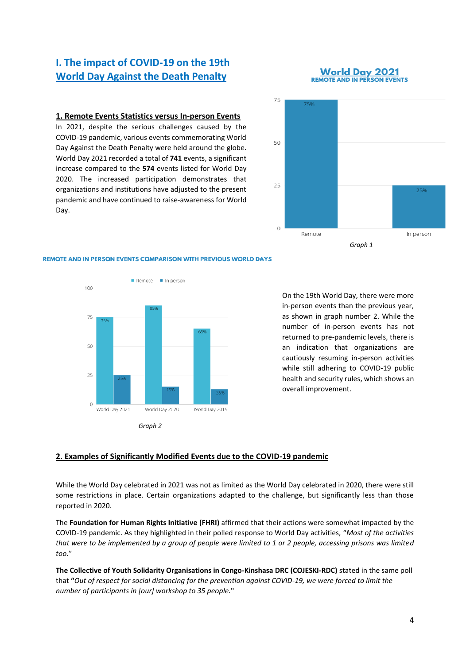# <span id="page-3-0"></span>**I. The impact of COVID-19 on the 19th World Day Against the Death Penalty**

#### **World Day 2021 REMOTE AND IN PERSON EVENTS**

#### <span id="page-3-1"></span>**1. Remote Events Statistics versus In-person Events**

In 2021, despite the serious challenges caused by the COVID-19 pandemic, various events commemorating World Day Against the Death Penalty were held around the globe. World Day 2021 recorded a total of **741** events, a significant increase compared to the **574** events listed for World Day 2020. The increased participation demonstrates that organizations and institutions have adjusted to the present pandemic and have continued to raise-awareness for World Day.



#### **REMOTE AND IN PERSON EVENTS COMPARISON WITH PREVIOUS WORLD DAYS**



*Graph 2*

On the 19th World Day, there were more in-person events than the previous year, as shown in graph number 2. While the number of in-person events has not returned to pre-pandemic levels, there is an indication that organizations are cautiously resuming in-person activities while still adhering to COVID-19 public health and security rules, which shows an overall improvement.

#### <span id="page-3-2"></span>**2. Examples of Significantly Modified Events due to the COVID-19 pandemic**

While the World Day celebrated in 2021 was not as limited as the World Day celebrated in 2020, there were still some restrictions in place. Certain organizations adapted to the challenge, but significantly less than those reported in 2020.

The **Foundation for Human Rights Initiative (FHRI)** affirmed that their actions were somewhat impacted by the COVID-19 pandemic. As they highlighted in their polled response to World Day activities, "*Most of the activities that were to be implemented by a group of people were limited to 1 or 2 people, accessing prisons was limited too*."

**The Collective of Youth Solidarity Organisations in Congo-Kinshasa DRC (COJESKI-RDC)** stated in the same poll that **"***Out of respect for social distancing for the prevention against COVID-19, we were forced to limit the number of participants in [our] workshop to 35 people.***"**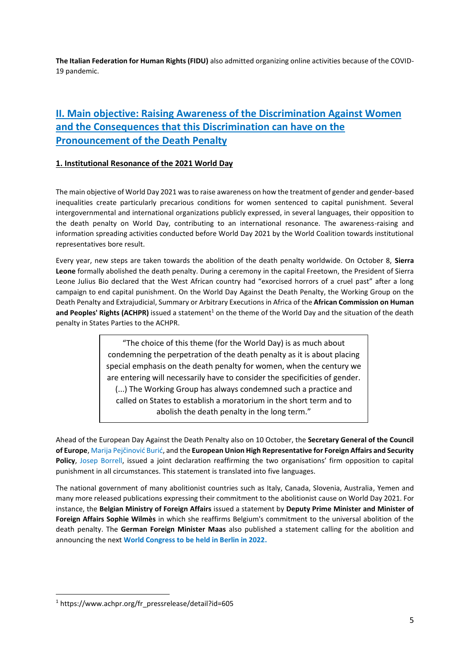**The Italian Federation for Human Rights (FIDU)** also admitted organizing online activities because of the COVID-19 pandemic.

# <span id="page-4-0"></span>**II. Main objective: Raising Awareness of the Discrimination Against Women and the Consequences that this Discrimination can have on the Pronouncement of the Death Penalty**

#### <span id="page-4-1"></span>**1. Institutional Resonance of the 2021 World Day**

The main objective of World Day 2021 was to raise awareness on how the treatment of gender and gender-based inequalities create particularly precarious conditions for women sentenced to capital punishment. Several intergovernmental and international organizations publicly expressed, in several languages, their opposition to the death penalty on World Day, contributing to an international resonance. The awareness-raising and information spreading activities conducted before World Day 2021 by the World Coalition towards institutional representatives bore result.

Every year, new steps are taken towards the abolition of the death penalty worldwide. On October 8, **Sierra Leone** formally abolished the death penalty. During a ceremony in the capital Freetown, the President of Sierra Leone Julius Bio declared that the West African country had "exorcised horrors of a cruel past" after a long campaign to end capital punishment. On the World Day Against the Death Penalty, the Working Group on the Death Penalty and Extrajudicial, Summary or Arbitrary Executions in Africa of the **African Commission on Human**  and Peoples' Rights (ACHPR) issued a statement<sup>1</sup> on the theme of the World Day and the situation of the death penalty in States Parties to the ACHPR.

> "The choice of this theme (for the World Day) is as much about condemning the perpetration of the death penalty as it is about placing special emphasis on the death penalty for women, when the century we are entering will necessarily have to consider the specificities of gender. (...) The Working Group has always condemned such a practice and called on States to establish a moratorium in the short term and to abolish the death penalty in the long term."

Ahead of the European Day Against the Death Penalty also on 10 October, the **Secretary General of the Council of Europe**, Marija Pejčinović Burić, and the **European Union High Representative for Foreign Affairs and Security Policy**, Josep Borrell, issued a joint declaration reaffirming the two organisations' firm opposition to capital punishment in all circumstances. This statement is translated into five languages.

The national government of many abolitionist countries such as Italy, Canada, Slovenia, Australia, Yemen and many more released publications expressing their commitment to the abolitionist cause on World Day 2021. For instance, the **Belgian Ministry of Foreign Affairs** issued a statement by **Deputy Prime Minister and Minister of Foreign Affairs Sophie Wilmès** in which she reaffirms Belgium's commitment to the universal abolition of the death penalty. The **German Foreign Minister Maas** also published a statement calling for the abolition and announcing the next **World Congress to be held in Berlin in 2022.** 

<sup>1</sup> https://www.achpr.org/fr\_pressrelease/detail?id=605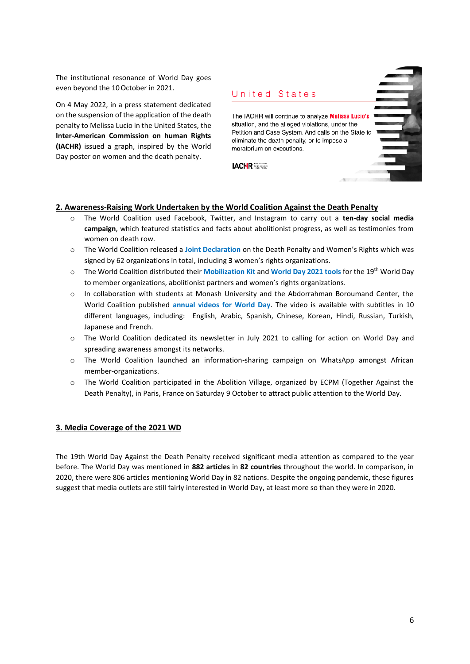The institutional resonance of World Day goes even beyond the 10October in 2021.

On 4 May 2022, in a press statement dedicated on the suspension of the application of the death penalty to Melissa Lucio in the United States, the **Inter-American Commission on human Rights (IACHR)** issued a graph, inspired by the World Day poster on women and the death penalty.



#### <span id="page-5-0"></span>**2. Awareness-Raising Work Undertaken by the World Coalition Against the Death Penalty**

- o The World Coalition used Facebook, Twitter, and Instagram to carry out a **ten-day social media campaign**, which featured statistics and facts about abolitionist progress, as well as testimonies from women on death row.
- o The World Coalition released a **Joint Declaration** on the Death Penalty and Women's Rights which was signed by 62 organizations in total, including **3** women's rights organizations.
- o The World Coalition distributed their **Mobilization Kit** and **World Day 2021 tools** for the 19th World Day to member organizations, abolitionist partners and women's rights organizations.
- o In collaboration with students at Monash University and the Abdorrahman Boroumand Center, the World Coalition published **annual videos for World Day**. The video is available with subtitles in 10 different languages, including: English, Arabic, Spanish, Chinese, Korean, Hindi, Russian, Turkish, Japanese and French.
- o The World Coalition dedicated its newsletter in July 2021 to calling for action on World Day and spreading awareness amongst its networks.
- o The World Coalition launched an information-sharing campaign on WhatsApp amongst African member-organizations.
- o The World Coalition participated in the Abolition Village, organized by ECPM (Together Against the Death Penalty), in Paris, France on Saturday 9 October to attract public attention to the World Day.

#### <span id="page-5-1"></span>**3. Media Coverage of the 2021 WD**

The 19th World Day Against the Death Penalty received significant media attention as compared to the year before. The World Day was mentioned in **882 articles** in **82 countries** throughout the world. In comparison, in 2020, there were 806 articles mentioning World Day in 82 nations. Despite the ongoing pandemic, these figures suggest that media outlets are still fairly interested in World Day, at least more so than they were in 2020.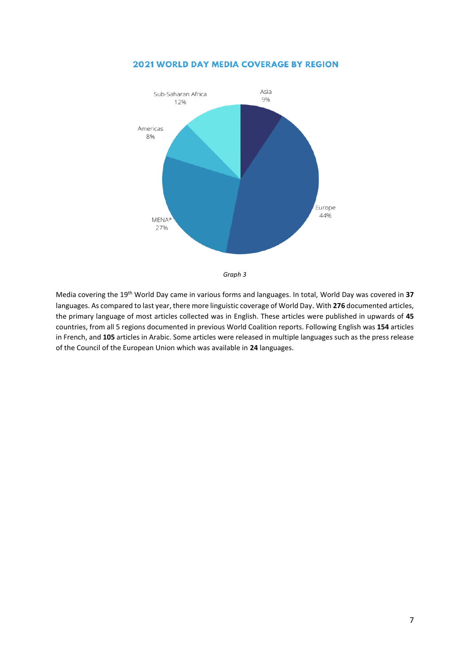

#### **2021 WORLD DAY MEDIA COVERAGE BY REGION**



Media covering the 19th World Day came in various forms and languages. In total, World Day was covered in **37** languages. As compared to last year, there more linguistic coverage of World Day. With **276** documented articles, the primary language of most articles collected was in English. These articles were published in upwards of **45** countries, from all 5 regions documented in previous World Coalition reports. Following English was **154** articles in French, and **105** articles in Arabic. Some articles were released in multiple languages such as the press release of the Council of the European Union which was available in **24** languages.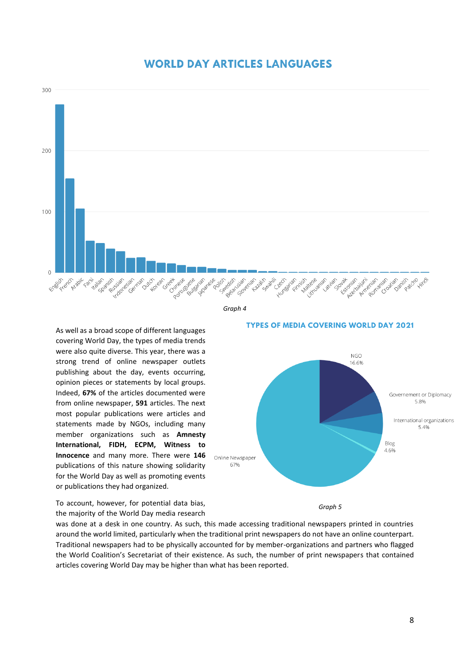



#### *Graph 4*

#### As well as a broad scope of different languages covering World Day, the types of media trends were also quite diverse. This year, there was a strong trend of online newspaper outlets publishing about the day, events occurring, opinion pieces or statements by local groups. Indeed, **67%** of the articles documented were from online newspaper, **591** articles. The next most popular publications were articles and statements made by NGOs, including many member organizations such as **Amnesty International, FIDH, ECPM, Witness to Innocence** and many more. There were **146** publications of this nature showing solidarity for the World Day as well as promoting events

#### **TYPES OF MEDIA COVERING WORLD DAY 2021**



 *Graph 5*

To account, however, for potential data bias, the majority of the World Day media research

or publications they had organized.

was done at a desk in one country. As such, this made accessing traditional newspapers printed in countries around the world limited, particularly when the traditional print newspapers do not have an online counterpart. Traditional newspapers had to be physically accounted for by member-organizations and partners who flagged the World Coalition's Secretariat of their existence. As such, the number of print newspapers that contained articles covering World Day may be higher than what has been reported.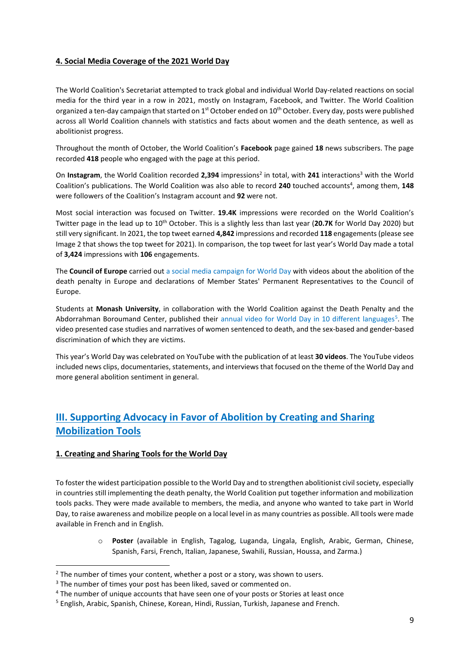#### <span id="page-8-0"></span>**4. Social Media Coverage of the 2021 World Day**

The World Coalition's Secretariat attempted to track global and individual World Day-related reactions on social media for the third year in a row in 2021, mostly on Instagram, Facebook, and Twitter. The World Coalition organized a ten-day campaign that started on 1<sup>st</sup> October ended on 10<sup>th</sup> October. Every day, posts were published across all World Coalition channels with statistics and facts about women and the death sentence, as well as abolitionist progress.

Throughout the month of October, the World Coalition's **Facebook** page gained **18** news subscribers. The page recorded **418** people who engaged with the page at this period.

On Instagram, the World Coalition recorded 2,394 impressions<sup>2</sup> in total, with 241 interactions<sup>3</sup> with the World Coalition's publications. The World Coalition was also able to record 240 touched accounts<sup>4</sup>, among them, 148 were followers of the Coalition's Instagram account and **92** were not.

Most social interaction was focused on Twitter. **19.4K** impressions were recorded on the World Coalition's Twitter page in the lead up to 10th October. This is a slightly less than last year (**20.7K** for World Day 2020) but still very significant. In 2021, the top tweet earned **4,842** impressions and recorded **118** engagements (please see Image 2 that shows the top tweet for 2021). In comparison, the top tweet for last year's World Day made a total of **3,424** impressions with **106** engagements.

The **Council of Europe** carried out a social media campaign for World Day with videos about the abolition of the death penalty in Europe and declarations of Member States' Permanent Representatives to the Council of Europe.

Students at **Monash University**, in collaboration with the World Coalition against the Death Penalty and the Abdorrahman Boroumand Center, published their annual video for World Day in 10 different languages<sup>5</sup>. The video presented case studies and narratives of women sentenced to death, and the sex-based and gender-based discrimination of which they are victims.

This year's World Day was celebrated on YouTube with the publication of at least **30 videos**. The YouTube videos included news clips, documentaries, statements, and interviews that focused on the theme of the World Day and more general abolition sentiment in general.

# <span id="page-8-1"></span>**III. Supporting Advocacy in Favor of Abolition by Creating and Sharing Mobilization Tools**

#### <span id="page-8-2"></span>**1. Creating and Sharing Tools for the World Day**

To foster the widest participation possible to the World Day and to strengthen abolitionist civil society, especially in countries still implementing the death penalty, the World Coalition put together information and mobilization tools packs. They were made available to members, the media, and anyone who wanted to take part in World Day, to raise awareness and mobilize people on a local level in as many countries as possible. All tools were made available in French and in English.

> o **Poster** (available in English, Tagalog, Luganda, Lingala, English, Arabic, German, Chinese, Spanish, Farsi, French, Italian, Japanese, Swahili, Russian, Houssa, and Zarma.)

 $2$  The number of times your content, whether a post or a story, was shown to users.

<sup>&</sup>lt;sup>3</sup> The number of times your post has been liked, saved or commented on.

<sup>4</sup> The number of unique accounts that have seen one of your posts or Stories at least once

<sup>5</sup> English, Arabic, Spanish, Chinese, Korean, Hindi, Russian, Turkish, Japanese and French.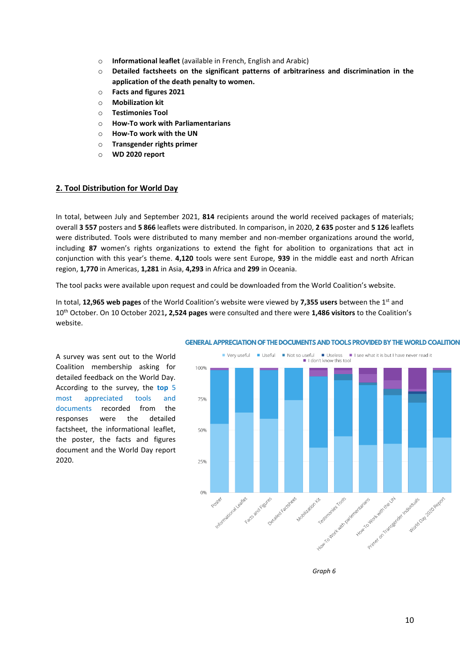- o **Informational leaflet** (available in French, English and Arabic)
- o **Detailed factsheets on the significant patterns of arbitrariness and discrimination in the application of the death penalty to women.**
- o **Facts and figures 2021**
- o **Mobilization kit**
- o **Testimonies Tool**
- o **How-To work with Parliamentarians**
- o **How-To work with the UN**
- o **Transgender rights primer**
- o **WD 2020 report**

#### <span id="page-9-0"></span>**2. Tool Distribution for World Day**

In total, between July and September 2021, **814** recipients around the world received packages of materials; overall **3 557** posters and **5 866** leaflets were distributed. In comparison, in 2020, **2 635** poster and **5 126** leaflets were distributed. Tools were distributed to many member and non-member organizations around the world, including **87** women's rights organizations to extend the fight for abolition to organizations that act in conjunction with this year's theme. **4,120** tools were sent Europe, **939** in the middle east and north African region, **1,770** in Americas, **1,281** in Asia, **4,293** in Africa and **299** in Oceania.

The tool packs were available upon request and could be downloaded from the World Coalition's website.

In total, **12,965 web pages** of the World Coalition's website were viewed by **7,355 users** between the 1st and 10th October. On 10 October 2021**, 2,524 pages** were consulted and there were **1,486 visitors** to the Coalition's website.

A survey was sent out to the World Coalition membership asking for detailed feedback on the World Day. According to the survey, the **top** 5 most appreciated tools and documents recorded from the responses were the detailed factsheet, the informational leaflet, the poster, the facts and figures document and the World Day report 2020.



#### **GENERAL APPRECIATION OF THE DOCUMENTS AND TOOLS PROVIDED BY THE WORLD COALITION**

*Graph 6*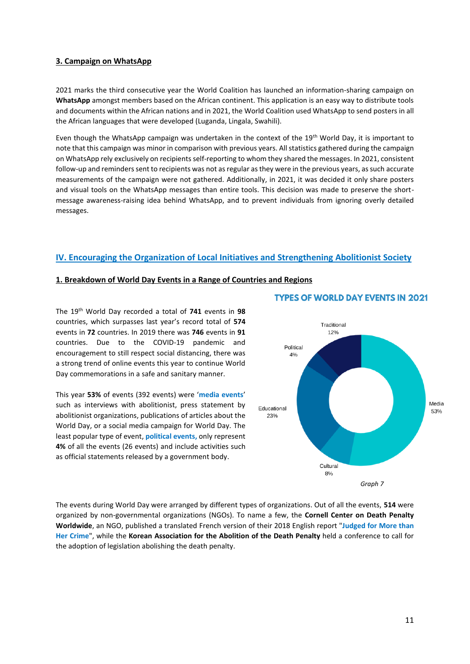#### <span id="page-10-0"></span>**3. Campaign on WhatsApp**

2021 marks the third consecutive year the World Coalition has launched an information-sharing campaign on **WhatsApp** amongst members based on the African continent. This application is an easy way to distribute tools and documents within the African nations and in 2021, the World Coalition used WhatsApp to send posters in all the African languages that were developed (Luganda, Lingala, Swahili).

Even though the WhatsApp campaign was undertaken in the context of the 19<sup>th</sup> World Day, it is important to note that this campaign was minor in comparison with previous years. All statistics gathered during the campaign on WhatsApp rely exclusively on recipients self-reporting to whom they shared the messages. In 2021, consistent follow-up and reminders sent to recipients was not as regular as they were in the previous years, as such accurate measurements of the campaign were not gathered. Additionally, in 2021, it was decided it only share posters and visual tools on the WhatsApp messages than entire tools. This decision was made to preserve the shortmessage awareness-raising idea behind WhatsApp, and to prevent individuals from ignoring overly detailed messages.

#### <span id="page-10-1"></span>**IV. Encouraging the Organization of Local Initiatives and Strengthening Abolitionist Society**

#### <span id="page-10-2"></span>**1. Breakdown of World Day Events in a Range of Countries and Regions**

The 19th World Day recorded a total of **741** events in **98**  countries, which surpasses last year's record total of **574** events in **72** countries. In 2019 there was **746** events in **91**  countries. Due to the COVID-19 pandemic and encouragement to still respect social distancing, there was a strong trend of online events this year to continue World Day commemorations in a safe and sanitary manner.

This year **53%** of events (392 events) were '**media events**' such as interviews with abolitionist, press statement by abolitionist organizations, publications of articles about the World Day, or a social media campaign for World Day. The least popular type of event, **political events,** only represent **4%** of all the events (26 events) and include activities such as official statements released by a government body.



#### **TYPES OF WORLD DAY EVENTS IN 2021**

The events during World Day were arranged by different types of organizations. Out of all the events, **514** were organized by non-governmental organizations (NGOs). To name a few, the **Cornell Center on Death Penalty Worldwide**, an NGO, published a translated French version of their 2018 English report "**Judged for More than Her Crime**", while the **Korean Association for the Abolition of the Death Penalty** held a conference to call for the adoption of legislation abolishing the death penalty.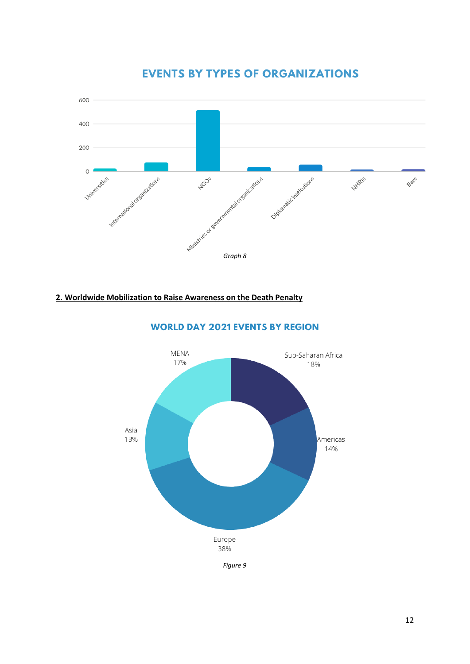

# **EVENTS BY TYPES OF ORGANIZATIONS**

#### <span id="page-11-0"></span>**2. Worldwide Mobilization to Raise Awareness on the Death Penalty**



#### **WORLD DAY 2021 EVENTS BY REGION**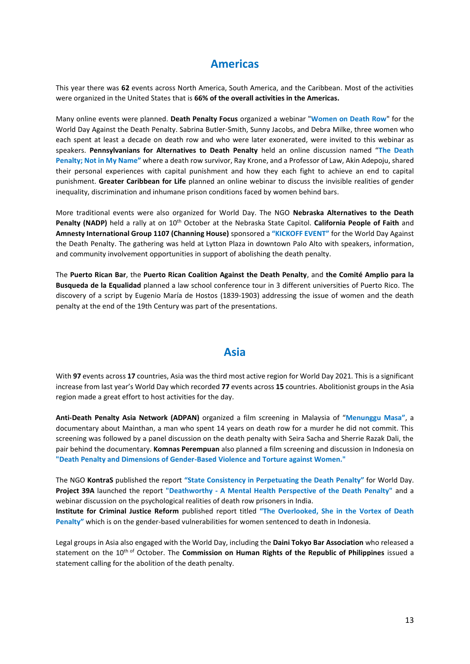# **Americas**

<span id="page-12-0"></span>This year there was **62** events across North America, South America, and the Caribbean. Most of the activities were organized in the United States that is **66% of the overall activities in the Americas.**

Many online events were planned. **Death Penalty Focus** organized a webinar "**Women on Death Row**" for the World Day Against the Death Penalty. Sabrina Butler-Smith, Sunny Jacobs, and Debra Milke, three women who each spent at least a decade on death row and who were later exonerated, were invited to this webinar as speakers. **Pennsylvanians for Alternatives to Death Penalty** held an online discussion named "**The Death Penalty; Not in My Name"** where a death row survivor, Ray Krone, and a Professor of Law, Akin Adepoju, shared their personal experiences with capital punishment and how they each fight to achieve an end to capital punishment. **Greater Caribbean for Life** planned an online webinar to discuss the invisible realities of gender inequality, discrimination and inhumane prison conditions faced by women behind bars.

More traditional events were also organized for World Day. The NGO **Nebraska Alternatives to the Death Penalty (NADP)** held a rally at on 10<sup>th</sup> October at the Nebraska State Capitol. **California People of Faith** and **Amnesty International Group 1107 (Channing House)** sponsored a **"KICKOFF EVENT"** for the World Day Against the Death Penalty. The gathering was held at Lytton Plaza in downtown Palo Alto with speakers, information, and community involvement opportunities in support of abolishing the death penalty.

The **Puerto Rican Bar**, the **Puerto Rican Coalition Against the Death Penalty**, and **the Comité Amplio para la Busqueda de la Equalidad** planned a law school conference tour in 3 different universities of Puerto Rico. The discovery of a script by Eugenio María de Hostos (1839-1903) addressing the issue of women and the death penalty at the end of the 19th Century was part of the presentations.

### **Asia**

<span id="page-12-1"></span>With **97** events across **17** countries, Asia was the third most active region for World Day 2021. This is a significant increase from last year's World Day which recorded **77** events across **15** countries. Abolitionist groups in the Asia region made a great effort to host activities for the day.

**Anti-Death Penalty Asia Network (ADPAN)** organized a film screening in Malaysia of "**Menunggu Masa"**, a documentary about Mainthan, a man who spent 14 years on death row for a murder he did not commit. This screening was followed by a panel discussion on the death penalty with Seira Sacha and Sherrie Razak Dali, the pair behind the documentary. **Komnas Perempuan** also planned a film screening and discussion in Indonesia on **"Death Penalty and Dimensions of Gender-Based Violence and Torture against Women."**

The NGO **KontraS** published the report **"State Consistency in Perpetuating the Death Penalty"** for World Day. **Project 39A** launched the report **"Deathworthy - A Mental Health Perspective of the Death Penalty"** and a webinar discussion on the psychological realities of death row prisoners in India.

**Institute for Criminal Justice Reform** published report titled **"The Overlooked, She in the Vortex of Death Penalty"** which is on the gender-based vulnerabilities for women sentenced to death in Indonesia.

Legal groups in Asia also engaged with the World Day, including the **Daini Tokyo Bar Association** who released a statement on the 10th of October. The **Commission on Human Rights of the Republic of Philippines** issued a statement calling for the abolition of the death penalty.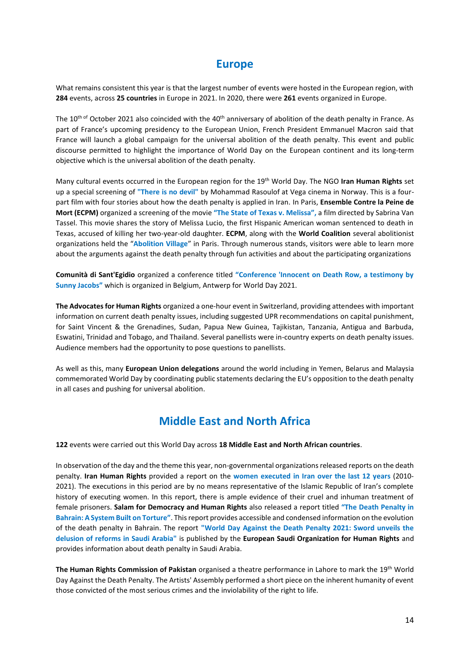# **Europe**

<span id="page-13-0"></span>What remains consistent this year is that the largest number of events were hosted in the European region, with **284** events, across **25 countries** in Europe in 2021. In 2020, there were **261** events organized in Europe.

The  $10^{\text{th of}}$  October 2021 also coincided with the 40<sup>th</sup> anniversary of abolition of the death penalty in France. As part of France's upcoming presidency to the European Union, French President Emmanuel Macron said that France will launch a global campaign for the universal abolition of the death penalty. This event and public discourse permitted to highlight the importance of World Day on the European continent and its long-term objective which is the universal abolition of the death penalty.

Many cultural events occurred in the European region for the 19th World Day. The NGO **Iran Human Rights** set up a special screening of **"There is no devil"** by Mohammad Rasoulof at Vega cinema in Norway. This is a fourpart film with four stories about how the death penalty is applied in Iran. In Paris, **Ensemble Contre la Peine de Mort (ECPM)** organized a screening of the movie **"The State of Texas v. Melissa",** a film directed by Sabrina Van Tassel. This movie shares the story of Melissa Lucio, the first Hispanic American woman sentenced to death in Texas, accused of killing her two-year-old daughter. **ECPM**, along with the **World Coalition** several abolitionist organizations held the "**Abolition Village**" in Paris. Through numerous stands, visitors were able to learn more about the arguments against the death penalty through fun activities and about the participating organizations

**Comunità di Sant'Egidio** organized a conference titled **"Conference 'Innocent on Death Row, a testimony by Sunny Jacobs"** which is organized in Belgium, Antwerp for World Day 2021.

**The Advocates for Human Rights** organized a one-hour event in Switzerland, providing attendees with important information on current death penalty issues, including suggested UPR recommendations on capital punishment, for Saint Vincent & the Grenadines, Sudan, Papua New Guinea, Tajikistan, Tanzania, Antigua and Barbuda, Eswatini, Trinidad and Tobago, and Thailand. Several panellists were in-country experts on death penalty issues. Audience members had the opportunity to pose questions to panellists.

As well as this, many **European Union delegations** around the world including in Yemen, Belarus and Malaysia commemorated World Day by coordinating public statements declaring the EU's opposition to the death penalty in all cases and pushing for universal abolition.

# **Middle East and North Africa**

<span id="page-13-1"></span>**122** events were carried out this World Day across **18 Middle East and North African countries**.

In observation of the day and the theme this year, non-governmental organizations released reports on the death penalty. **Iran Human Rights** provided a report on the **women executed in Iran over the last 12 years** (2010- 2021). The executions in this period are by no means representative of the Islamic Republic of Iran's complete history of executing women. In this report, there is ample evidence of their cruel and inhuman treatment of female prisoners. **Salam for Democracy and Human Rights** also released a report titled **"The Death Penalty in Bahrain: A System Built on Torture"**. This report provides accessible and condensed information on the evolution of the death penalty in Bahrain. The report **"World Day Against the Death Penalty 2021: Sword unveils the delusion of reforms in Saudi Arabia"** is published by the **European Saudi Organization for Human Rights** and provides information about death penalty in Saudi Arabia.

**The Human Rights Commission of Pakistan** organised a theatre performance in Lahore to mark the 19th World Day Against the Death Penalty. The Artists' Assembly performed a short piece on the inherent humanity of event those convicted of the most serious crimes and the inviolability of the right to life.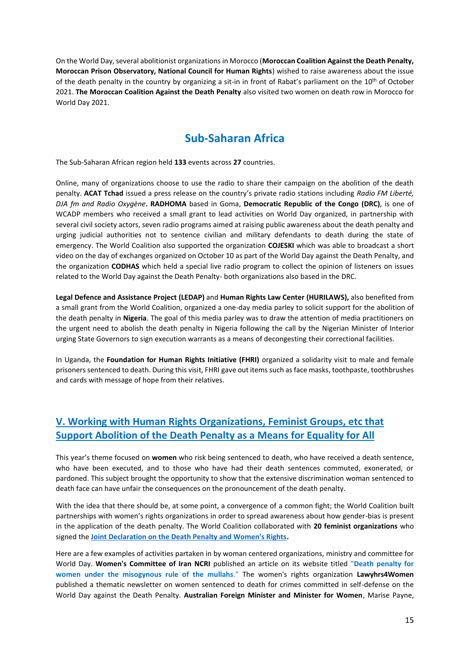On the World Day, several abolitionist organizations in Morocco (**Moroccan Coalition Against the Death Penalty, Moroccan Prison Observatory, National Council for Human Rights**) wished to raise awareness about the issue of the death penalty in the country by organizing a sit-in in front of Rabat's parliament on the 10<sup>th</sup> of October 2021. **The Moroccan Coalition Against the Death Penalty** also visited two women on death row in Morocco for World Day 2021.

# **Sub-Saharan Africa**

<span id="page-14-0"></span>The Sub-Saharan African region held **133** events across **27** countries.

Online, many of organizations choose to use the radio to share their campaign on the abolition of the death penalty. **ACAT Tchad** issued a press release on the country's private radio stations including *Radio FM Liberté, DJA fm and Radio Oxygène***. RADHOMA** based in Goma, **Democratic Republic of the Congo (DRC)**, is one of WCADP members who received a small grant to lead activities on World Day organized, in partnership with several civil society actors, seven radio programs aimed at raising public awareness about the death penalty and urging judicial authorities not to sentence civilian and military defendants to death during the state of emergency. The World Coalition also supported the organization **COJESKI** which was able to broadcast a short video on the day of exchanges organized on October 10 as part of the World Day against the Death Penalty, and the organization **CODHAS** which held a special live radio program to collect the opinion of listeners on issues related to the World Day against the Death Penalty- both organizations also based in the DRC.

**Legal Defence and Assistance Project (LEDAP)** and **Human Rights Law Center (HURILAWS),** also benefited from a small grant from the World Coalition, organized a one-day media parley to solicit support for the abolition of the death penalty in **Nigeria**. The goal of this media parley was to draw the attention of media practitioners on the urgent need to abolish the death penalty in Nigeria following the call by the Nigerian Minister of Interior urging State Governors to sign execution warrants as a means of decongesting their correctional facilities.

In Uganda, the **Foundation for Human Rights Initiative (FHRI)** organized a solidarity visit to male and female prisoners sentenced to death. During this visit, FHRI gave out items such as face masks, toothpaste, toothbrushes and cards with message of hope from their relatives.

### <span id="page-14-1"></span>**V. Working with Human Rights Organizations, Feminist Groups, etc that Support Abolition of the Death Penalty as a Means for Equality for All**

This year's theme focused on **women** who risk being sentenced to death, who have received a death sentence, who have been executed, and to those who have had their death sentences commuted, exonerated, or pardoned. This subject brought the opportunity to show that the extensive discrimination woman sentenced to death face can have unfair the consequences on the pronouncement of the death penalty.

With the idea that there should be, at some point, a convergence of a common fight; the World Coalition built partnerships with women's rights organizations in order to spread awareness about how gender-bias is present in the application of the death penalty. The World Coalition collaborated with **20 feminist organizations** who signed the **[Joint Declaration on the Death Penalty and Women's Rights](https://worldcoalition.org/2021/10/10/joint-declaration-on-the-death-penalty-and-womens-rights/).** 

Here are a few examples of activities partaken in by woman centered organizations, ministry and committee for World Day. **Women's Committee of Iran NCRI** published an article on its website titled "**Death penalty for women under the misogynous rule of the mullahs**." The women's rights organization **Lawyhrs4Women** published a thematic newsletter on women sentenced to death for crimes committed in self-defense on the World Day against the Death Penalty. **Australian Foreign Minister and Minister for Women**, Marise Payne,